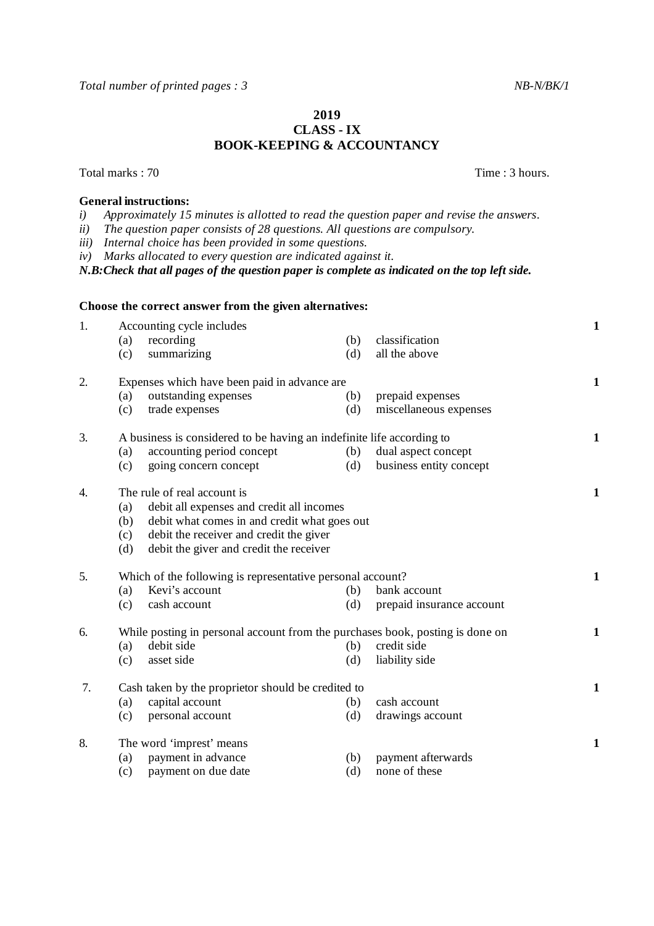*Total number of printed pages : 3 NB-N/BK/1* 

## **2019 CLASS - IX BOOK-KEEPING & ACCOUNTANCY**

Total marks : 70 Time : 3 hours.

## **General instructions:**<br>*i*) Approximately 15

- *i) Approximately 15 minutes is allotted to read the question paper and revise the answers.*
- *ii) The question paper consists of 28 questions. All questions are compulsory.*
- *iii) Internal choice has been provided in some questions.*

*iv) Marks allocated to every question are indicated against it.*

*N.B:Check that all pages of the question paper is complete as indicated on the top left side.*

|    | Choose the correct answer from the given alternatives:                                                                                                                                                                                     |              |  |  |
|----|--------------------------------------------------------------------------------------------------------------------------------------------------------------------------------------------------------------------------------------------|--------------|--|--|
| 1. | Accounting cycle includes<br>recording<br>classification<br>(b)<br>(a)<br>summarizing<br>(d)<br>all the above<br>(c)                                                                                                                       | 1            |  |  |
| 2. | Expenses which have been paid in advance are<br>outstanding expenses<br>prepaid expenses<br>(a)<br>(b)<br>trade expenses<br>(d)<br>miscellaneous expenses<br>(c)                                                                           | $\mathbf{1}$ |  |  |
| 3. | A business is considered to be having an indefinite life according to<br>accounting period concept<br>dual aspect concept<br>(a)<br>(b)<br>business entity concept<br>(c)<br>going concern concept<br>(d)                                  | $\mathbf{1}$ |  |  |
| 4. | The rule of real account is<br>debit all expenses and credit all incomes<br>(a)<br>debit what comes in and credit what goes out<br>(b)<br>(c)<br>debit the receiver and credit the giver<br>(d)<br>debit the giver and credit the receiver |              |  |  |
| 5. | Which of the following is representative personal account?<br>Kevi's account<br>(a)<br>(b)<br>bank account<br>(d)<br>prepaid insurance account<br>(c)<br>cash account                                                                      | $\mathbf{1}$ |  |  |
| 6. | While posting in personal account from the purchases book, posting is done on<br>debit side<br>credit side<br>(a)<br>(b)<br>asset side<br>liability side<br>(c)<br>(d)                                                                     | 1            |  |  |
| 7. | Cash taken by the proprietor should be credited to<br>capital account<br>cash account<br>(a)<br>(b)<br>personal account<br>drawings account<br>(c)<br>(d)                                                                                  | $\mathbf{1}$ |  |  |
| 8. | The word 'imprest' means<br>payment in advance<br>payment afterwards<br>(a)<br>(b)<br>none of these<br>payment on due date<br>(d)<br>(c)                                                                                                   | $\mathbf{1}$ |  |  |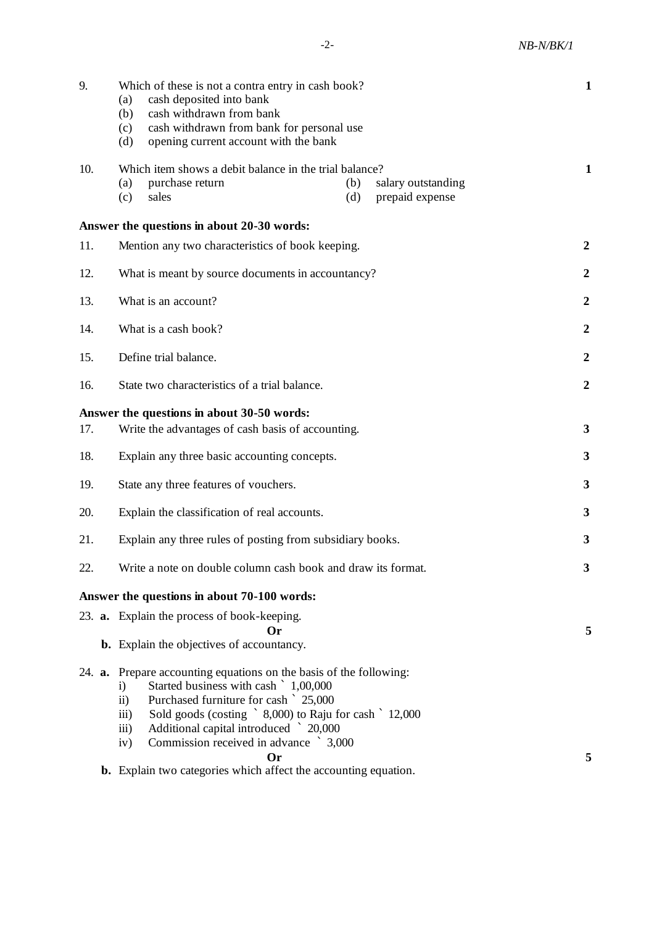| 9.  | Which of these is not a contra entry in cash book?<br>cash deposited into bank<br>(a)<br>(b)<br>cash withdrawn from bank<br>cash withdrawn from bank for personal use<br>(c)<br>opening current account with the bank<br>(d)                                                                                                                                                                                                                                             | $\mathbf{1}$     |  |  |  |  |
|-----|--------------------------------------------------------------------------------------------------------------------------------------------------------------------------------------------------------------------------------------------------------------------------------------------------------------------------------------------------------------------------------------------------------------------------------------------------------------------------|------------------|--|--|--|--|
| 10. | Which item shows a debit balance in the trial balance?<br>purchase return<br>salary outstanding<br>(a)<br>(b)<br>prepaid expense<br>sales<br>(c)<br>(d)                                                                                                                                                                                                                                                                                                                  | 1                |  |  |  |  |
|     | Answer the questions in about 20-30 words:                                                                                                                                                                                                                                                                                                                                                                                                                               |                  |  |  |  |  |
| 11. | Mention any two characteristics of book keeping.                                                                                                                                                                                                                                                                                                                                                                                                                         |                  |  |  |  |  |
| 12. | What is meant by source documents in accountancy?                                                                                                                                                                                                                                                                                                                                                                                                                        |                  |  |  |  |  |
| 13. | What is an account?                                                                                                                                                                                                                                                                                                                                                                                                                                                      | $\boldsymbol{2}$ |  |  |  |  |
| 14. | What is a cash book?                                                                                                                                                                                                                                                                                                                                                                                                                                                     | $\boldsymbol{2}$ |  |  |  |  |
| 15. | Define trial balance.                                                                                                                                                                                                                                                                                                                                                                                                                                                    |                  |  |  |  |  |
| 16. | State two characteristics of a trial balance.                                                                                                                                                                                                                                                                                                                                                                                                                            | $\boldsymbol{2}$ |  |  |  |  |
|     | Answer the questions in about 30-50 words:                                                                                                                                                                                                                                                                                                                                                                                                                               |                  |  |  |  |  |
| 17. | Write the advantages of cash basis of accounting.                                                                                                                                                                                                                                                                                                                                                                                                                        | 3                |  |  |  |  |
| 18. | Explain any three basic accounting concepts.                                                                                                                                                                                                                                                                                                                                                                                                                             | 3                |  |  |  |  |
| 19. | State any three features of vouchers.                                                                                                                                                                                                                                                                                                                                                                                                                                    | 3                |  |  |  |  |
| 20. | Explain the classification of real accounts.                                                                                                                                                                                                                                                                                                                                                                                                                             | 3                |  |  |  |  |
| 21. | Explain any three rules of posting from subsidiary books.                                                                                                                                                                                                                                                                                                                                                                                                                | 3                |  |  |  |  |
| 22. | Write a note on double column cash book and draw its format.                                                                                                                                                                                                                                                                                                                                                                                                             |                  |  |  |  |  |
|     | Answer the questions in about 70-100 words:                                                                                                                                                                                                                                                                                                                                                                                                                              |                  |  |  |  |  |
|     | 23. <b>a.</b> Explain the process of book-keeping.                                                                                                                                                                                                                                                                                                                                                                                                                       |                  |  |  |  |  |
|     | Or<br><b>b.</b> Explain the objectives of accountancy.                                                                                                                                                                                                                                                                                                                                                                                                                   | 5                |  |  |  |  |
|     | 24. <b>a.</b> Prepare accounting equations on the basis of the following:<br>Started business with cash ` 1,00,000<br>$\mathbf{i}$<br>Purchased furniture for cash ` 25,000<br>$\ddot{\text{ii}})$<br>Sold goods (costing ` 8,000) to Raju for cash ` 12,000<br>$\overline{\text{iii}}$<br>Additional capital introduced 20,000<br>iii)<br>Commission received in advance > 3,000<br>iv)<br>Or<br><b>b.</b> Explain two categories which affect the accounting equation. | 5                |  |  |  |  |